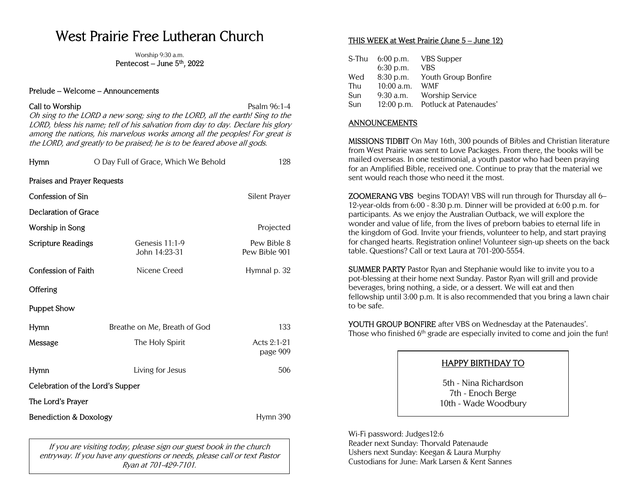# West Prairie Free Lutheran Church

Worship 9:30 a.m. Pentecost – June 5th, 2022

#### Prelude – Welcome – Announcements

## Call to Worship **Psalm 96:1-4** Psalm 96:1-4

Oh sing to the LORD a new song; sing to the LORD, all the earth! Sing to the LORD, bless his name; tell of his salvation from day to day. Declare his glory among the nations, his marvelous works among all the peoples! For great is the LORD, and greatly to be praised; he is to be feared above all gods.

| Hymn                                          | O Day Full of Grace, Which We Behold<br>128 |                              |  |  |  |
|-----------------------------------------------|---------------------------------------------|------------------------------|--|--|--|
| Praises and Prayer Requests                   |                                             |                              |  |  |  |
| <b>Confession of Sin</b>                      | Silent Prayer                               |                              |  |  |  |
| Declaration of Grace                          |                                             |                              |  |  |  |
| Worship in Song                               |                                             | Projected                    |  |  |  |
| <b>Scripture Readings</b>                     | Genesis $11:1-9$<br>John 14:23-31           | Pew Bible 8<br>Pew Bible 901 |  |  |  |
| <b>Confession of Faith</b>                    | Nicene Creed                                | Hymnal p. 32                 |  |  |  |
| Offering                                      |                                             |                              |  |  |  |
| <b>Puppet Show</b>                            |                                             |                              |  |  |  |
| Hymn                                          | 133<br>Breathe on Me, Breath of God         |                              |  |  |  |
| Message                                       | The Holy Spirit                             | Acts $2:1-21$<br>page 909    |  |  |  |
| Hymn                                          | Living for Jesus                            | 506                          |  |  |  |
| Celebration of the Lord's Supper              |                                             |                              |  |  |  |
| The Lord's Prayer                             |                                             |                              |  |  |  |
| <b>Benediction &amp; Doxology</b><br>Hymn 390 |                                             |                              |  |  |  |

If you are visiting today, please sign our guest book in the church entryway. If you have any questions or needs, please call or text Pastor Ryan at 701-429-7101.

### THIS WEEK at West Prairie (June 5 – June 12)

| S-Thu | $6:00$ p.m.  | <b>VBS</b> Supper      |
|-------|--------------|------------------------|
|       | $6:30$ p.m.  | VBS                    |
| Wed   | 8:30 p.m.    | Youth Group Bonfire    |
| Thu   | 10:00 a.m.   | WMF                    |
| Sun   | $9:30$ a.m.  | Worship Service        |
| Sun   | $12:00$ p.m. | Potluck at Patenaudes' |

#### ANNOUNCEMENTS

MISSIONS TIDBIT On May 16th, 300 pounds of Bibles and Christian literature from West Prairie was sent to Love Packages. From there, the books will be mailed overseas. In one testimonial, a youth pastor who had been praying for an Amplified Bible, received one. Continue to pray that the material we sent would reach those who need it the most.

ZOOMERANG VBS begins TODAY! VBS will run through for Thursday all 6– 12-year-olds from 6:00 - 8:30 p.m. Dinner will be provided at 6:00 p.m. for participants. As we enjoy the Australian Outback, we will explore the wonder and value of life, from the lives of preborn babies to eternal life in the kingdom of God. Invite your friends, volunteer to help, and start praying for changed hearts. Registration online! Volunteer sign-up sheets on the back table. Questions? Call or text Laura at 701-200-5554.

SUMMER PARTY Pastor Ryan and Stephanie would like to invite you to a pot-blessing at their home next Sunday. Pastor Ryan will grill and provide beverages, bring nothing, a side, or a dessert. We will eat and then fellowship until 3:00 p.m. It is also recommended that you bring a lawn chair to be safe.

YOUTH GROUP BONFIRE after VBS on Wednesday at the Patenaudes'. Those who finished  $6<sup>th</sup>$  grade are especially invited to come and join the fun!

# HAPPY BIRTHDAY TO

5th - Nina Richardson 7th - Enoch Berge 10th - Wade Woodbury

Wi-Fi password: Judges12:6 Reader next Sunday: Thorvald Patenaude Ushers next Sunday: Keegan & Laura Murphy Custodians for June: Mark Larsen & Kent Sannes